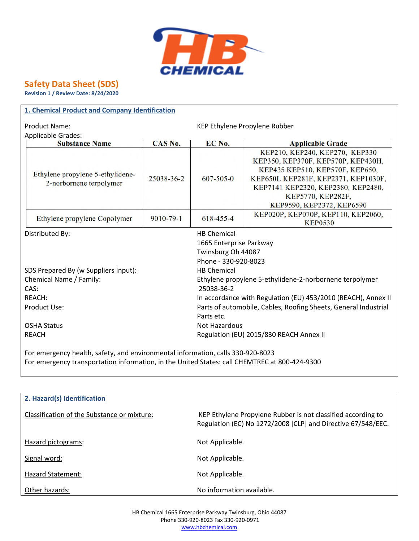

# **Safety Data Sheet (SDS)**

**Revision 1 / Review Date: 8/24/2020**

| 1. Chemical Product and Company Identification                                  |            |                                                                 |                                                                                                                                                                                                           |  |  |
|---------------------------------------------------------------------------------|------------|-----------------------------------------------------------------|-----------------------------------------------------------------------------------------------------------------------------------------------------------------------------------------------------------|--|--|
| Product Name:<br>KEP Ethylene Propylene Rubber                                  |            |                                                                 |                                                                                                                                                                                                           |  |  |
| <b>Applicable Grades:</b>                                                       |            |                                                                 |                                                                                                                                                                                                           |  |  |
| <b>Substance Name</b>                                                           | CAS No.    | EC No.                                                          | <b>Applicable Grade</b>                                                                                                                                                                                   |  |  |
| Ethylene propylene 5-ethylidene-<br>2-norbornene terpolymer                     | 25038-36-2 | $607 - 505 - 0$                                                 | KEP210, KEP240, KEP270, KEP330<br>KEP350, KEP370F, KEP570P, KEP430H,<br>KEP435 KEP510, KEP570F, KEP650,<br>KEP650L KEP281F, KEP2371, KEP1030F,<br>KEP7141 KEP2320, KEP2380, KEP2480,<br>KEP5770, KEP282F, |  |  |
| Ethylene propylene Copolymer                                                    | 9010-79-1  | 618-455-4                                                       | KEP9590, KEP2372, KEP6590<br>KEP020P, KEP070P, KEP110, KEP2060,<br><b>KEP0530</b>                                                                                                                         |  |  |
| Distributed By:                                                                 |            | <b>HB Chemical</b>                                              |                                                                                                                                                                                                           |  |  |
| 1665 Enterprise Parkway                                                         |            |                                                                 |                                                                                                                                                                                                           |  |  |
| Twinsburg Oh 44087                                                              |            |                                                                 |                                                                                                                                                                                                           |  |  |
| Phone - 330-920-8023                                                            |            |                                                                 |                                                                                                                                                                                                           |  |  |
| SDS Prepared By (w Suppliers Input):<br><b>HB Chemical</b>                      |            |                                                                 |                                                                                                                                                                                                           |  |  |
| Chemical Name / Family:                                                         |            |                                                                 | Ethylene propylene 5-ethylidene-2-norbornene terpolymer                                                                                                                                                   |  |  |
| CAS:                                                                            |            | 25038-36-2                                                      |                                                                                                                                                                                                           |  |  |
| <b>REACH:</b>                                                                   |            |                                                                 | In accordance with Regulation (EU) 453/2010 (REACH), Annex II                                                                                                                                             |  |  |
| Product Use:                                                                    |            | Parts of automobile, Cables, Roofing Sheets, General Industrial |                                                                                                                                                                                                           |  |  |
|                                                                                 |            | Parts etc.                                                      |                                                                                                                                                                                                           |  |  |
| <b>OSHA Status</b>                                                              |            | Not Hazardous                                                   |                                                                                                                                                                                                           |  |  |
| <b>REACH</b>                                                                    |            | Regulation (EU) 2015/830 REACH Annex II                         |                                                                                                                                                                                                           |  |  |
| For emergency health, safety, and environmental information, calls 330-920-8023 |            |                                                                 |                                                                                                                                                                                                           |  |  |

For emergency transportation information, in the United States: call CHEMTREC at 800-424-9300

| 2. Hazard(s) Identification                 |                                                                                                                              |
|---------------------------------------------|------------------------------------------------------------------------------------------------------------------------------|
| Classification of the Substance or mixture: | KEP Ethylene Propylene Rubber is not classified according to<br>Regulation (EC) No 1272/2008 [CLP] and Directive 67/548/EEC. |
| Hazard pictograms:                          | Not Applicable.                                                                                                              |
| Signal word:                                | Not Applicable.                                                                                                              |
| Hazard Statement:                           | Not Applicable.                                                                                                              |
| Other hazards:                              | No information available.                                                                                                    |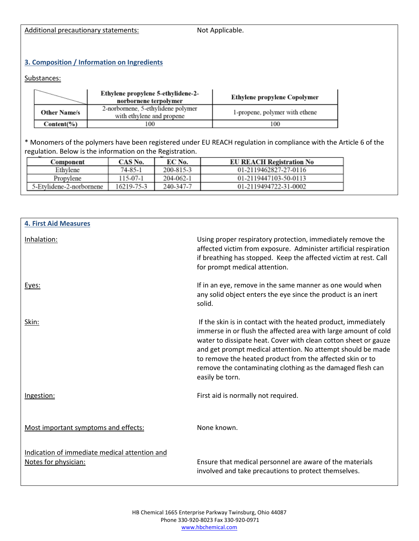Additional precautionary statements: Not Applicable.

## **3. Composition / Information on Ingredients**

## Substances:

|                     | Ethylene propylene 5-ethylidene-2-<br>norbornene terpolymer     | Ethylene propylene Copolymer   |
|---------------------|-----------------------------------------------------------------|--------------------------------|
| <b>Other Name/s</b> | 2-norbornene, 5-ethylidene polymer<br>with ethylene and propene | 1-propene, polymer with ethene |
| $Content(\% )$      | -00                                                             | 100                            |

\* Monomers of the polymers have been registered under EU REACH regulation in compliance with the Article 6 of the regulation. Below is the information on the Registration.

| Component                | CAS No.       | EC No.    | <b>EU REACH Registration No</b> |
|--------------------------|---------------|-----------|---------------------------------|
| Ethvlene                 | $74 - 85 - 1$ | 200-815-3 | 01-2119462827-27-0116           |
| Propylene                | 115-07-1      | 204-062-1 | 01-2119447103-50-0113           |
| 5-Etylidene-2-norbornene | 16219-75-3    | 240-347-7 | 01-2119494722-31-0002           |

| <b>4. First Aid Measures</b>                                          |                                                                                                                                                                                                                                                                                                                                                                                                                   |
|-----------------------------------------------------------------------|-------------------------------------------------------------------------------------------------------------------------------------------------------------------------------------------------------------------------------------------------------------------------------------------------------------------------------------------------------------------------------------------------------------------|
| Inhalation:                                                           | Using proper respiratory protection, immediately remove the<br>affected victim from exposure. Administer artificial respiration<br>if breathing has stopped. Keep the affected victim at rest. Call<br>for prompt medical attention.                                                                                                                                                                              |
| Eyes:                                                                 | If in an eye, remove in the same manner as one would when<br>any solid object enters the eye since the product is an inert<br>solid.                                                                                                                                                                                                                                                                              |
| Skin:                                                                 | If the skin is in contact with the heated product, immediately<br>immerse in or flush the affected area with large amount of cold<br>water to dissipate heat. Cover with clean cotton sheet or gauze<br>and get prompt medical attention. No attempt should be made<br>to remove the heated product from the affected skin or to<br>remove the contaminating clothing as the damaged flesh can<br>easily be torn. |
| Ingestion:                                                            | First aid is normally not required.                                                                                                                                                                                                                                                                                                                                                                               |
| Most important symptoms and effects:                                  | None known.                                                                                                                                                                                                                                                                                                                                                                                                       |
| Indication of immediate medical attention and<br>Notes for physician: | Ensure that medical personnel are aware of the materials<br>involved and take precautions to protect themselves.                                                                                                                                                                                                                                                                                                  |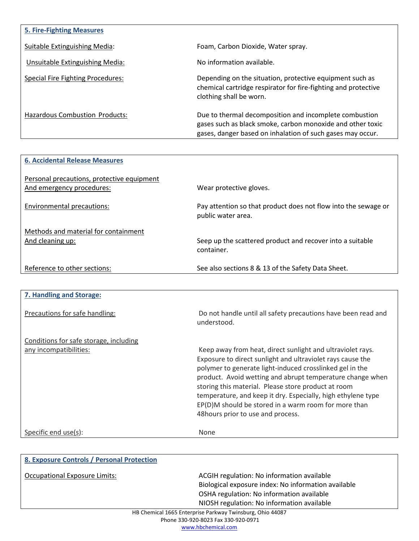| <b>5. Fire-Fighting Measures</b>      |                                                                                                                                                                                    |
|---------------------------------------|------------------------------------------------------------------------------------------------------------------------------------------------------------------------------------|
| Suitable Extinguishing Media:         | Foam, Carbon Dioxide, Water spray.                                                                                                                                                 |
| Unsuitable Extinguishing Media:       | No information available.                                                                                                                                                          |
| Special Fire Fighting Procedures:     | Depending on the situation, protective equipment such as<br>chemical cartridge respirator for fire-fighting and protective<br>clothing shall be worn.                              |
| <b>Hazardous Combustion Products:</b> | Due to thermal decomposition and incomplete combustion<br>gases such as black smoke, carbon monoxide and other toxic<br>gases, danger based on inhalation of such gases may occur. |

| <b>6. Accidental Release Measures</b>                                   |                                                                                      |
|-------------------------------------------------------------------------|--------------------------------------------------------------------------------------|
| Personal precautions, protective equipment<br>And emergency procedures: | Wear protective gloves.                                                              |
| Environmental precautions:                                              | Pay attention so that product does not flow into the sewage or<br>public water area. |
| Methods and material for containment                                    |                                                                                      |
| And cleaning up:                                                        | Seep up the scattered product and recover into a suitable<br>container.              |
| Reference to other sections:                                            | See also sections 8 & 13 of the Safety Data Sheet.                                   |

| 7. Handling and Storage:               |                                                                                                                                                                                                                                                                                                                                                                                                                                                                        |
|----------------------------------------|------------------------------------------------------------------------------------------------------------------------------------------------------------------------------------------------------------------------------------------------------------------------------------------------------------------------------------------------------------------------------------------------------------------------------------------------------------------------|
| Precautions for safe handling:         | Do not handle until all safety precautions have been read and<br>understood.                                                                                                                                                                                                                                                                                                                                                                                           |
| Conditions for safe storage, including |                                                                                                                                                                                                                                                                                                                                                                                                                                                                        |
| any incompatibilities:                 | Keep away from heat, direct sunlight and ultraviolet rays.<br>Exposure to direct sunlight and ultraviolet rays cause the<br>polymer to generate light-induced crosslinked gel in the<br>product. Avoid wetting and abrupt temperature change when<br>storing this material. Please store product at room<br>temperature, and keep it dry. Especially, high ethylene type<br>EP(D)M should be stored in a warm room for more than<br>48 hours prior to use and process. |
| Specific end use(s):                   | <b>None</b>                                                                                                                                                                                                                                                                                                                                                                                                                                                            |
|                                        |                                                                                                                                                                                                                                                                                                                                                                                                                                                                        |

| 8. Exposure Controls / Personal Protection |                                                           |
|--------------------------------------------|-----------------------------------------------------------|
| <b>Occupational Exposure Limits:</b>       | ACGIH regulation: No information available                |
|                                            | Biological exposure index: No information available       |
|                                            | OSHA regulation: No information available                 |
|                                            | NIOSH regulation: No information available                |
|                                            | HB Chemical 1665 Enterprise Parkway Twinsburg, Ohio 44087 |

Phone 330-920-8023 Fax 330-920-0971 www.hbchemical.com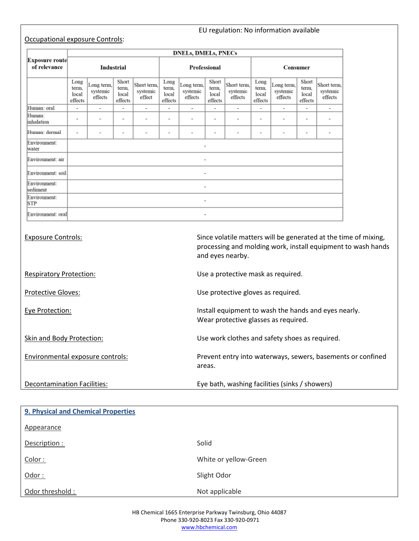## Occupational exposure Controls:

## EU regulation: No information available

|                                | <b>DNELs, DMELs, PNECs</b>        |                                   |                                    |                                   |                                   |                                   |                                    |                                    |                                   |                                   |                                    |                                    |
|--------------------------------|-----------------------------------|-----------------------------------|------------------------------------|-----------------------------------|-----------------------------------|-----------------------------------|------------------------------------|------------------------------------|-----------------------------------|-----------------------------------|------------------------------------|------------------------------------|
| Exposure route<br>of relevance | Industrial                        |                                   |                                    | Professional                      |                                   |                                   | Consumer                           |                                    |                                   |                                   |                                    |                                    |
|                                | Long<br>term.<br>local<br>effects | Long term,<br>systemic<br>effects | Short<br>term,<br>local<br>effects | Short term,<br>systemic<br>effect | Long<br>term.<br>local<br>effects | Long term,<br>systemic<br>effects | Short<br>term,<br>local<br>effects | Short term,<br>systemic<br>effects | Long<br>term.<br>local<br>effects | Long term,<br>systemic<br>effects | Short<br>term.<br>local<br>effects | Short term.<br>systemic<br>effects |
| Human: oral                    | $\overline{\phantom{a}}$          | $\overline{\phantom{a}}$          | $\overline{\phantom{a}}$           | $\overline{\phantom{a}}$          | $\overline{\phantom{a}}$          | $\overline{\phantom{a}}$          | $\overline{\phantom{a}}$           | $\overline{\phantom{a}}$           | $\overline{\phantom{0}}$          | $\overline{\phantom{a}}$          | $\overline{\phantom{a}}$           | $\overline{\phantom{a}}$           |
| Human:<br>inhalation           | $\blacksquare$                    | $\blacksquare$                    | $\,$                               | $\blacksquare$                    | $\blacksquare$                    | $\blacksquare$                    | $\sim$                             | $\blacksquare$                     | $\sim$                            | $\blacksquare$                    | $\overline{\phantom{a}}$           | $\,$                               |
| Human: dermal                  | $\sim$                            | $\blacksquare$                    | $\blacksquare$                     | $\sim$                            | $\blacksquare$                    | ٠                                 | $\blacksquare$                     | $\blacksquare$                     | $\blacksquare$                    | $\sim$                            | ۰                                  | $\sim$                             |
| Environment:<br>water          |                                   | $\overline{\phantom{a}}$          |                                    |                                   |                                   |                                   |                                    |                                    |                                   |                                   |                                    |                                    |
| Environment: air               |                                   |                                   |                                    |                                   |                                   | $\sim$                            |                                    |                                    |                                   |                                   |                                    |                                    |
| Environment: soil              |                                   |                                   |                                    |                                   |                                   | $\overline{\phantom{a}}$          |                                    |                                    |                                   |                                   |                                    |                                    |
| Environment:<br>sediment       |                                   |                                   |                                    |                                   |                                   | ۰                                 |                                    |                                    |                                   |                                   |                                    |                                    |
| Environment:<br>STP            |                                   | $\overline{\phantom{a}}$          |                                    |                                   |                                   |                                   |                                    |                                    |                                   |                                   |                                    |                                    |
| Environment: orall             |                                   |                                   |                                    |                                   |                                   | $\overline{\phantom{a}}$          |                                    |                                    |                                   |                                   |                                    |                                    |

| <b>Exposure Controls:</b>        | Since volatile matters will be generated at the time of mixing,<br>processing and molding work, install equipment to wash hands<br>and eyes nearby. |
|----------------------------------|-----------------------------------------------------------------------------------------------------------------------------------------------------|
| <b>Respiratory Protection:</b>   | Use a protective mask as required.                                                                                                                  |
| <b>Protective Gloves:</b>        | Use protective gloves as required.                                                                                                                  |
| Eye Protection:                  | Install equipment to wash the hands and eyes nearly.<br>Wear protective glasses as required.                                                        |
| Skin and Body Protection:        | Use work clothes and safety shoes as required.                                                                                                      |
| Environmental exposure controls: | Prevent entry into waterways, sewers, basements or confined<br>areas.                                                                               |
| Decontamination Facilities:      | Eye bath, washing facilities (sinks / showers)                                                                                                      |

| 9. Physical and Chemical Properties |                       |
|-------------------------------------|-----------------------|
| Appearance                          |                       |
| Description :                       | Solid                 |
| Color:                              | White or yellow-Green |
| Odor:                               | Slight Odor           |
| Odor threshold:                     | Not applicable        |

HB Chemical 1665 Enterprise Parkway Twinsburg, Ohio 44087 Phone 330-920-8023 Fax 330-920-0971 www.hbchemical.com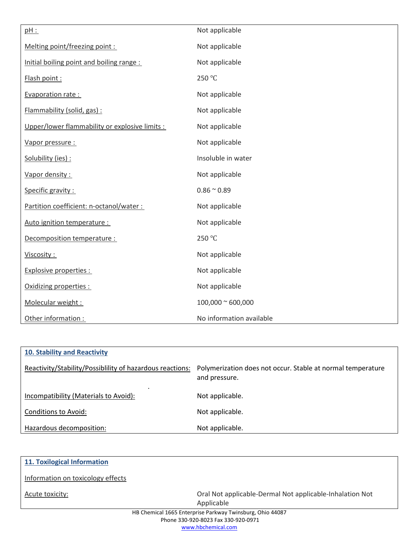| pH:                                            | Not applicable            |  |
|------------------------------------------------|---------------------------|--|
| Melting point/freezing point :                 | Not applicable            |  |
| Initial boiling point and boiling range:       | Not applicable            |  |
| Flash point:                                   | 250 °C                    |  |
| Evaporation rate:                              | Not applicable            |  |
| Flammability (solid, gas) :                    | Not applicable            |  |
| Upper/lower flammability or explosive limits : | Not applicable            |  |
| Vapor pressure :                               | Not applicable            |  |
| Solubility (ies) :                             | Insoluble in water        |  |
| Vapor density:                                 | Not applicable            |  |
| Specific gravity :                             | $0.86 \approx 0.89$       |  |
| Partition coefficient: n-octanol/water :       | Not applicable            |  |
| Auto ignition temperature :                    | Not applicable            |  |
| Decomposition temperature :                    | 250 °C                    |  |
| Viscosity:                                     | Not applicable            |  |
| <b>Explosive properties:</b>                   | Not applicable            |  |
| Oxidizing properties :                         | Not applicable            |  |
| Molecular weight:                              | $100,000 \approx 600,000$ |  |
| Other information :                            | No information available  |  |

| <b>10. Stability and Reactivity</b>                      |                                                                              |
|----------------------------------------------------------|------------------------------------------------------------------------------|
| Reactivity/Stability/Possibility of hazardous reactions: | Polymerization does not occur. Stable at normal temperature<br>and pressure. |
| ٠<br>Incompatibility (Materials to Avoid):               | Not applicable.                                                              |
| <b>Conditions to Avoid:</b>                              | Not applicable.                                                              |
| Hazardous decomposition:                                 | Not applicable.                                                              |

| 11. Toxilogical Information                               |                                                          |
|-----------------------------------------------------------|----------------------------------------------------------|
| Information on toxicology effects                         |                                                          |
| Acute toxicity:                                           | Oral Not applicable-Dermal Not applicable-Inhalation Not |
|                                                           | Applicable                                               |
| HB Chemical 1665 Enterprise Parkway Twinsburg, Ohio 44087 |                                                          |
| Phone 330-920-8023 Fax 330-920-0971                       |                                                          |
| www.hbchemical.com                                        |                                                          |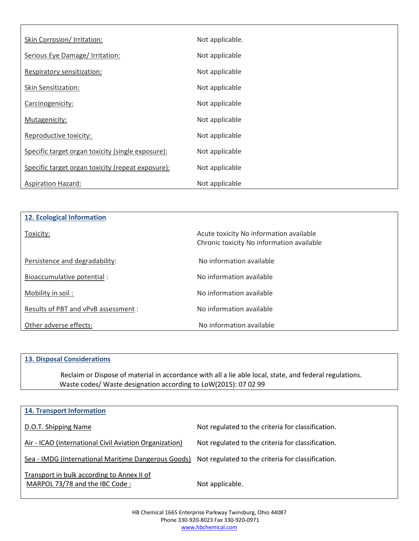| Skin Corrosion/ Irritation:                       | Not applicable. |
|---------------------------------------------------|-----------------|
| Serious Eye Damage/ Irritation:                   | Not applicable  |
| Respiratory sensitization:                        | Not applicable  |
| Skin Sensitization:                               | Not applicable  |
| Carcinogenicity:                                  | Not applicable  |
| Mutagenicity:                                     | Not applicable  |
| Reproductive toxicity:                            | Not applicable  |
| Specific target organ toxicity (single exposure): | Not applicable  |
| Specific target organ toxicity (repeat exposure): | Not applicable  |
| <b>Aspiration Hazard:</b>                         | Not applicable  |

| 12. Ecological Information           |                                           |
|--------------------------------------|-------------------------------------------|
|                                      |                                           |
| Toxicity:                            | Acute toxicity No information available   |
|                                      | Chronic toxicity No information available |
|                                      |                                           |
| Persistence and degradability:       | No information available                  |
| Bioaccumulative potential :          | No information available                  |
|                                      |                                           |
| Mobility in soil:                    | No information available                  |
|                                      | No information available                  |
| Results of PBT and vPvB assessment : |                                           |
| Other adverse effects:               | No information available                  |

### **13. Disposal Considerations**

Reclaim or Dispose of material in accordance with all a lie able local, state, and federal regulations. Waste codes/ Waste designation according to LoW(2015): 07 02 99

| <b>14. Transport Information</b>                                             |                                                   |
|------------------------------------------------------------------------------|---------------------------------------------------|
| D.O.T. Shipping Name                                                         | Not regulated to the criteria for classification. |
| Air - ICAO (international Civil Aviation Organization)                       | Not regulated to the criteria for classification. |
| Sea - IMDG (International Maritime Dangerous Goods)                          | Not regulated to the criteria for classification. |
| Transport in bulk according to Annex II of<br>MARPOL 73/78 and the IBC Code: | Not applicable.                                   |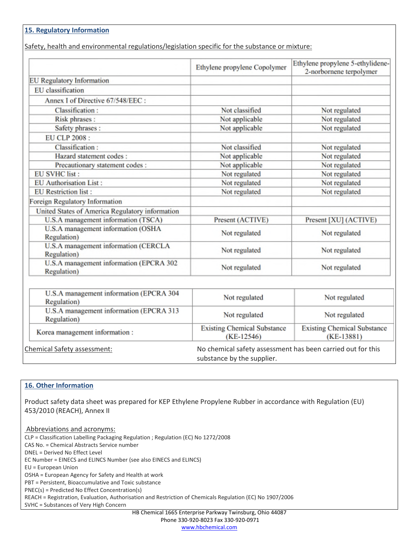## **15. Regulatory Information**

Safety, health and environmental regulations/legislation specific for the substance or mixture:

|                                                        | Ethylene propylene Copolymer                                                              | Ethylene propylene 5-ethylidene-<br>2-norbornene terpolymer |
|--------------------------------------------------------|-------------------------------------------------------------------------------------------|-------------------------------------------------------------|
| <b>EU</b> Regulatory Information                       |                                                                                           |                                                             |
| EU classification                                      |                                                                                           |                                                             |
| Annex I of Directive 67/548/EEC:                       |                                                                                           |                                                             |
| Classification:                                        | Not classified                                                                            | Not regulated                                               |
| Risk phrases:                                          | Not applicable                                                                            | Not regulated                                               |
| Safety phrases:                                        | Not applicable                                                                            | Not regulated                                               |
| EU CLP 2008 :                                          |                                                                                           |                                                             |
| Classification:                                        | Not classified                                                                            | Not regulated                                               |
| Hazard statement codes:                                | Not applicable                                                                            | Not regulated                                               |
| Precautionary statement codes :                        | Not applicable                                                                            | Not regulated                                               |
| <b>EU SVHC list:</b>                                   | Not regulated                                                                             | Not regulated                                               |
| <b>EU</b> Authorisation List:                          | Not regulated                                                                             | Not regulated                                               |
| <b>EU</b> Restriction list :                           | Not regulated                                                                             | Not regulated                                               |
| Foreign Regulatory Information                         |                                                                                           |                                                             |
| United States of America Regulatory information        |                                                                                           |                                                             |
| U.S.A management information (TSCA)                    | Present (ACTIVE)                                                                          | Present [XU] (ACTIVE)                                       |
| U.S.A management information (OSHA<br>Regulation)      | Not regulated                                                                             | Not regulated                                               |
| U.S.A management information (CERCLA<br>Regulation)    | Not regulated                                                                             | Not regulated                                               |
| U.S.A management information (EPCRA 302<br>Regulation) | Not regulated                                                                             | Not regulated                                               |
|                                                        |                                                                                           |                                                             |
| U.S.A management information (EPCRA 304<br>Regulation) | Not regulated                                                                             | Not regulated                                               |
| U.S.A management information (EPCRA 313<br>Regulation) | Not regulated                                                                             | Not regulated                                               |
| Korea management information:                          | <b>Existing Chemical Substance</b><br>$(KE-12546)$                                        | <b>Existing Chemical Substance</b><br>$(KE-13881)$          |
| Chemical Safety assessment:                            | No chemical safety assessment has been carried out for this<br>substance by the supplier. |                                                             |

### **16. Other Information**

Product safety data sheet was prepared for KEP Ethylene Propylene Rubber in accordance with Regulation (EU) 453/2010 (REACH), Annex II

Abbreviations and acronyms: CLP = Classification Labelling Packaging Regulation ; Regulation (EC) No 1272/2008 CAS No. = Chemical Abstracts Service number DNEL = Derived No Effect Level EC Number = EINECS and ELINCS Number (see also EINECS and ELINCS) EU = European Union OSHA = European Agency for Safety and Health at work PBT = Persistent, Bioaccumulative and Toxic substance PNEC(s) = Predicted No Effect Concentration(s) REACH = Registration, Evaluation, Authorisation and Restriction of Chemicals Regulation (EC) No 1907/2006 SVHC = Substances of Very High Concern